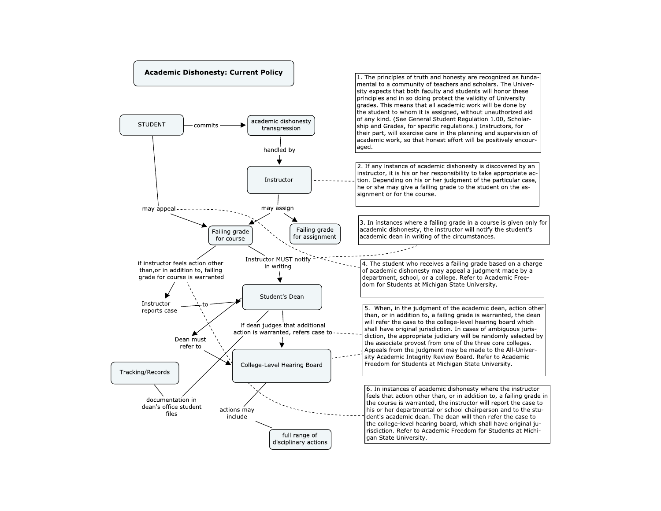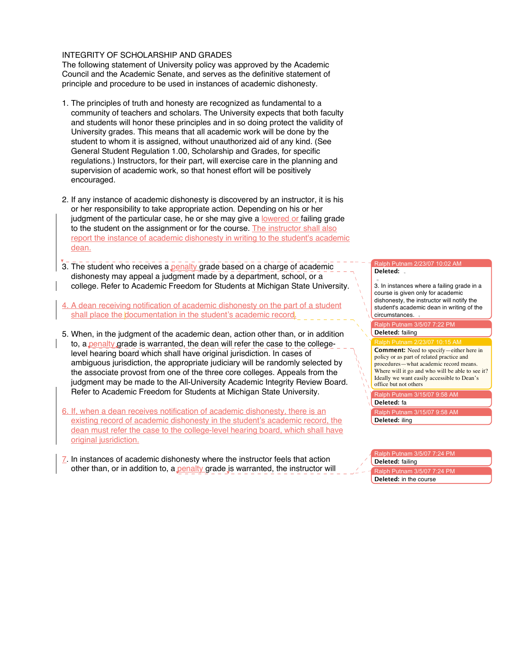## INTEGRITY OF SCHOLARSHIP AND GRADES

The following statement of University policy was approved by the Academic Council and the Academic Senate, and serves as the definitive statement of principle and procedure to be used in instances of academic dishonesty.

- 1. The principles of truth and honesty are recognized as fundamental to a community of teachers and scholars. The University expects that both faculty and students will honor these principles and in so doing protect the validity of University grades. This means that all academic work will be done by the student to whom it is assigned, without unauthorized aid of any kind. (See General Student Regulation 1.00, Scholarship and Grades, for specific regulations.) Instructors, for their part, will exercise care in the planning and supervision of academic work, so that honest effort will be positively encouraged.
- 2. If any instance of academic dishonesty is discovered by an instructor, it is his or her responsibility to take appropriate action. Depending on his or her judgment of the particular case, he or she may give a lowered or failing grade to the student on the assignment or for the course. The instructor shall also report the instance of academic dishonesty in writing to the student's academic dean.
- 3. The student who receives a penalty grade based on a charge of academic dishonesty may appeal a judgment made by a department, school, or a college. Refer to Academic Freedom for Students at Michigan State University.
- 4. A dean receiving notification of academic dishonesty on the part of a student shall place the documentation in the student's academic record.
- 5. When, in the judgment of the academic dean, action other than, or in addition to, a penalty grade is warranted, the dean will refer the case to the collegelevel hearing board which shall have original jurisdiction. In cases of ambiguous jurisdiction, the appropriate judiciary will be randomly selected by the associate provost from one of the three core colleges. Appeals from the judgment may be made to the All-University Academic Integrity Review Board. Refer to Academic Freedom for Students at Michigan State University.
- 6. If, when a dean receives notification of academic dishonesty, there is an existing record of academic dishonesty in the student's academic record, the dean must refer the case to the college-level hearing board, which shall have original jusridiction.
- $Z$ . In instances of academic dishonesty where the instructor feels that action other than, or in addition to, a penalty grade is warranted, the instructor will

## Ralph Putnam 2/23/07 10:02 AM **Deleted:**

3. In instances where a failing grade in a course is given only for academic dishonesty, the instructor will notify the student's academic dean in writing of the circumstances.

alph Putnam  $3/5/07$  7:22 PM **Deleted:** failing

**Comment:** Need to specify—either here in policy or as part of related practice and procedures—what academic record means. Where will it go and who will be able to see it? Ideally we want easily accessible to Dean's office but not others

 $R$ lph Putnam 3/15/07 9:58 AM

**Deleted:** fa

Ralph Putnam 3/15/07 9:58 AM **Deleted:** iling

## Ralph Putnam 3/5/07 7:24 P

**Deleted:** failing

**Iph Putnam 3/5/07 7:24 PM Deleted:** in the course